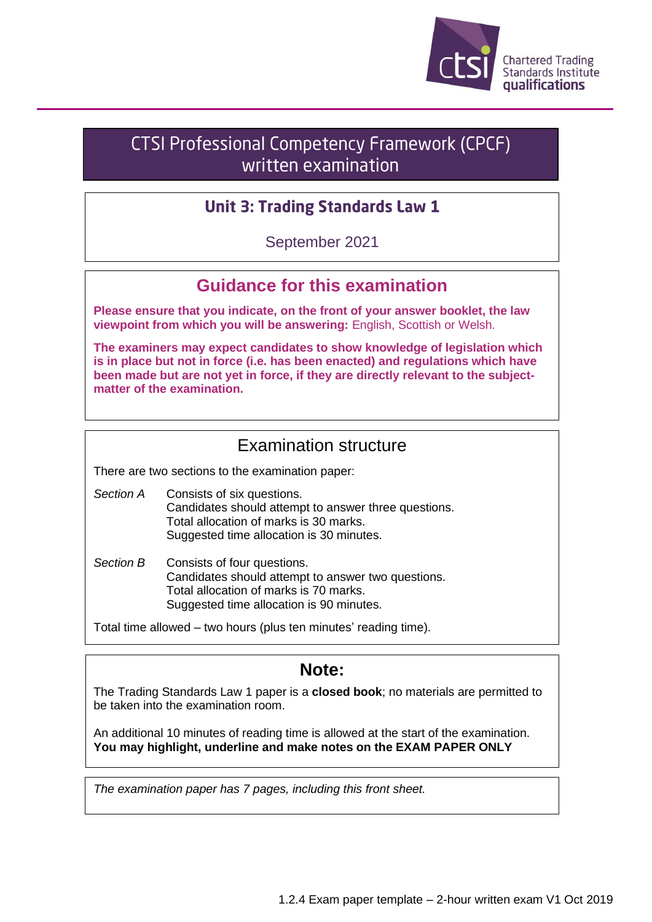

## **CTSI Professional Competency Framework (CPCF)** written examination

### **Unit 3: Trading Standards Law 1**

September 2021

# **Guidance for this examination**

**Please ensure that you indicate, on the front of your answer booklet, the law viewpoint from which you will be answering:** English, Scottish or Welsh.

**The examiners may expect candidates to show knowledge of legislation which is in place but not in force (i.e. has been enacted) and regulations which have been made but are not yet in force, if they are directly relevant to the subjectmatter of the examination.**

## Examination structure

There are two sections to the examination paper:

- *Section A* Consists of six questions. Candidates should attempt to answer three questions. Total allocation of marks is 30 marks. Suggested time allocation is 30 minutes.
- *Section B* Consists of four questions. Candidates should attempt to answer two questions. Total allocation of marks is 70 marks. Suggested time allocation is 90 minutes.

Total time allowed – two hours (plus ten minutes' reading time).

### **Note:**

The Trading Standards Law 1 paper is a **closed book**; no materials are permitted to be taken into the examination room.

An additional 10 minutes of reading time is allowed at the start of the examination. **You may highlight, underline and make notes on the EXAM PAPER ONLY**

*The examination paper has 7 pages, including this front sheet.*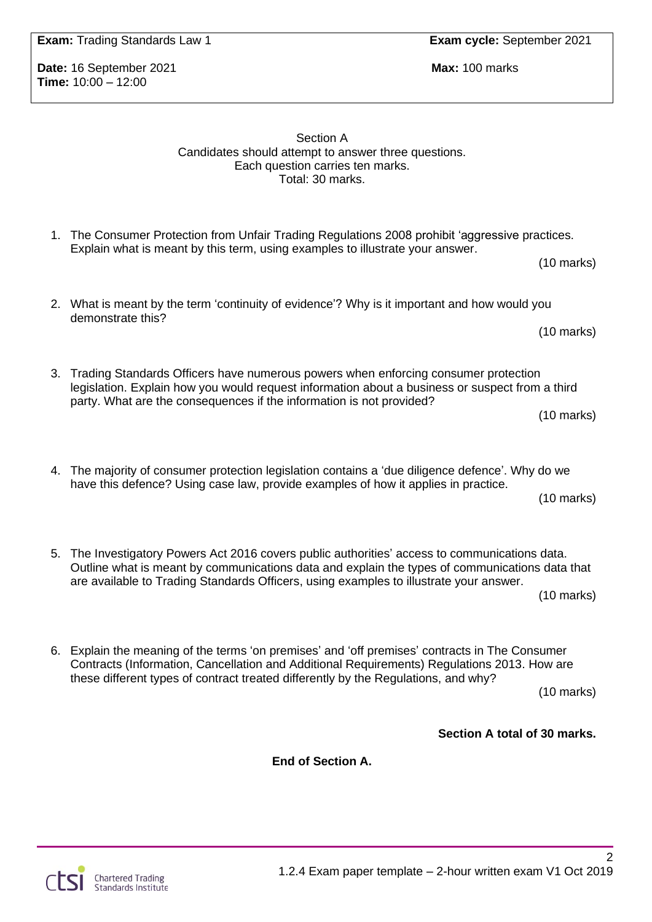**Time:** 10:00 – 12:00

Section A Candidates should attempt to answer three questions. Each question carries ten marks. Total: 30 marks.

- 1. The Consumer Protection from Unfair Trading Regulations 2008 prohibit 'aggressive practices. Explain what is meant by this term, using examples to illustrate your answer.
- 2. What is meant by the term 'continuity of evidence'? Why is it important and how would you demonstrate this?
- 3. Trading Standards Officers have numerous powers when enforcing consumer protection legislation. Explain how you would request information about a business or suspect from a third party. What are the consequences if the information is not provided? (10 marks)
- 4. The majority of consumer protection legislation contains a 'due diligence defence'. Why do we have this defence? Using case law, provide examples of how it applies in practice.

(10 marks)

5. The Investigatory Powers Act 2016 covers public authorities' access to communications data. Outline what is meant by communications data and explain the types of communications data that are available to Trading Standards Officers, using examples to illustrate your answer.

(10 marks)

6. Explain the meaning of the terms 'on premises' and 'off premises' contracts in The Consumer Contracts (Information, Cancellation and Additional Requirements) Regulations 2013. How are these different types of contract treated differently by the Regulations, and why?

(10 marks)

**Section A total of 30 marks.**

**End of Section A.**

**Date:** 16 September 2021 **Max:** 100 marks

(10 marks)

(10 marks)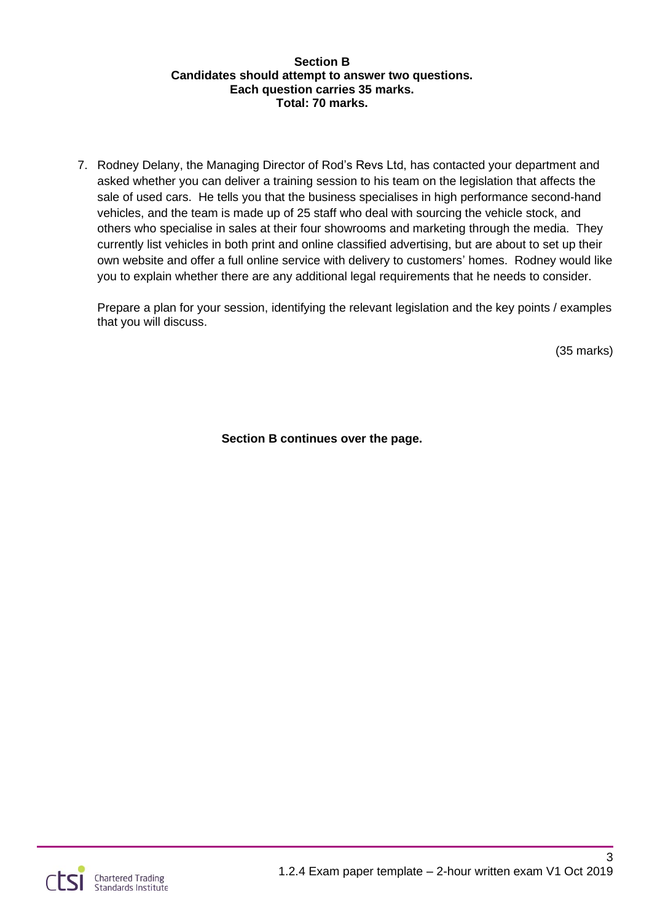#### **Section B Candidates should attempt to answer two questions. Each question carries 35 marks. Total: 70 marks.**

7. Rodney Delany, the Managing Director of Rod's Revs Ltd, has contacted your department and asked whether you can deliver a training session to his team on the legislation that affects the sale of used cars. He tells you that the business specialises in high performance second-hand vehicles, and the team is made up of 25 staff who deal with sourcing the vehicle stock, and others who specialise in sales at their four showrooms and marketing through the media. They currently list vehicles in both print and online classified advertising, but are about to set up their own website and offer a full online service with delivery to customers' homes. Rodney would like you to explain whether there are any additional legal requirements that he needs to consider.

Prepare a plan for your session, identifying the relevant legislation and the key points / examples that you will discuss.

(35 marks)

**Section B continues over the page.**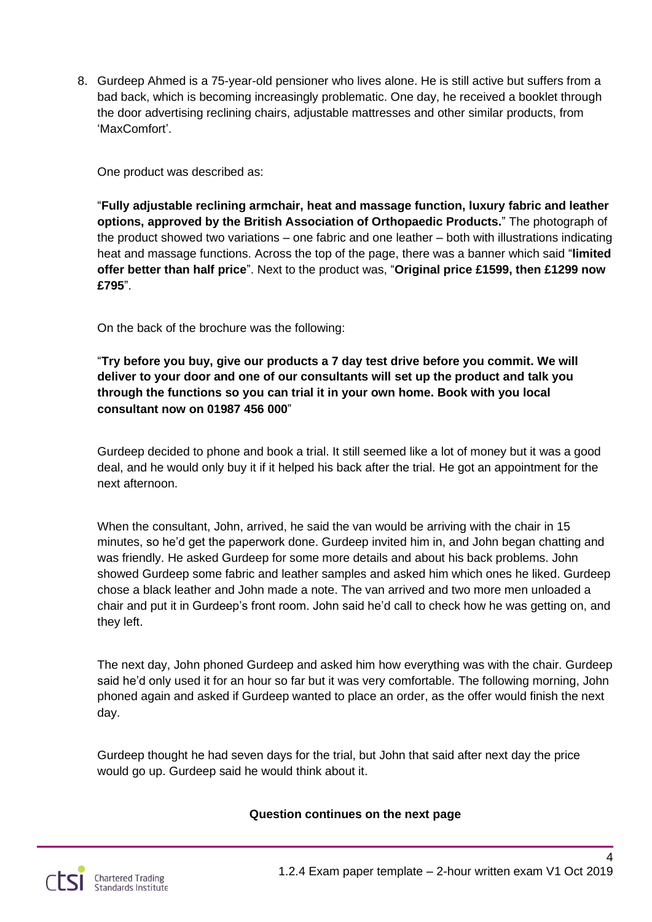8. Gurdeep Ahmed is a 75-year-old pensioner who lives alone. He is still active but suffers from a bad back, which is becoming increasingly problematic. One day, he received a booklet through the door advertising reclining chairs, adjustable mattresses and other similar products, from 'MaxComfort'.

One product was described as:

"**Fully adjustable reclining armchair, heat and massage function, luxury fabric and leather options, approved by the British Association of Orthopaedic Products.**" The photograph of the product showed two variations – one fabric and one leather – both with illustrations indicating heat and massage functions. Across the top of the page, there was a banner which said "**limited offer better than half price**". Next to the product was, "**Original price £1599, then £1299 now £795**".

On the back of the brochure was the following:

"**Try before you buy, give our products a 7 day test drive before you commit. We will deliver to your door and one of our consultants will set up the product and talk you through the functions so you can trial it in your own home. Book with you local consultant now on 01987 456 000**"

Gurdeep decided to phone and book a trial. It still seemed like a lot of money but it was a good deal, and he would only buy it if it helped his back after the trial. He got an appointment for the next afternoon.

When the consultant, John, arrived, he said the van would be arriving with the chair in 15 minutes, so he'd get the paperwork done. Gurdeep invited him in, and John began chatting and was friendly. He asked Gurdeep for some more details and about his back problems. John showed Gurdeep some fabric and leather samples and asked him which ones he liked. Gurdeep chose a black leather and John made a note. The van arrived and two more men unloaded a chair and put it in Gurdeep's front room. John said he'd call to check how he was getting on, and they left.

The next day, John phoned Gurdeep and asked him how everything was with the chair. Gurdeep said he'd only used it for an hour so far but it was very comfortable. The following morning, John phoned again and asked if Gurdeep wanted to place an order, as the offer would finish the next day.

Gurdeep thought he had seven days for the trial, but John that said after next day the price would go up. Gurdeep said he would think about it.

#### **Question continues on the next page**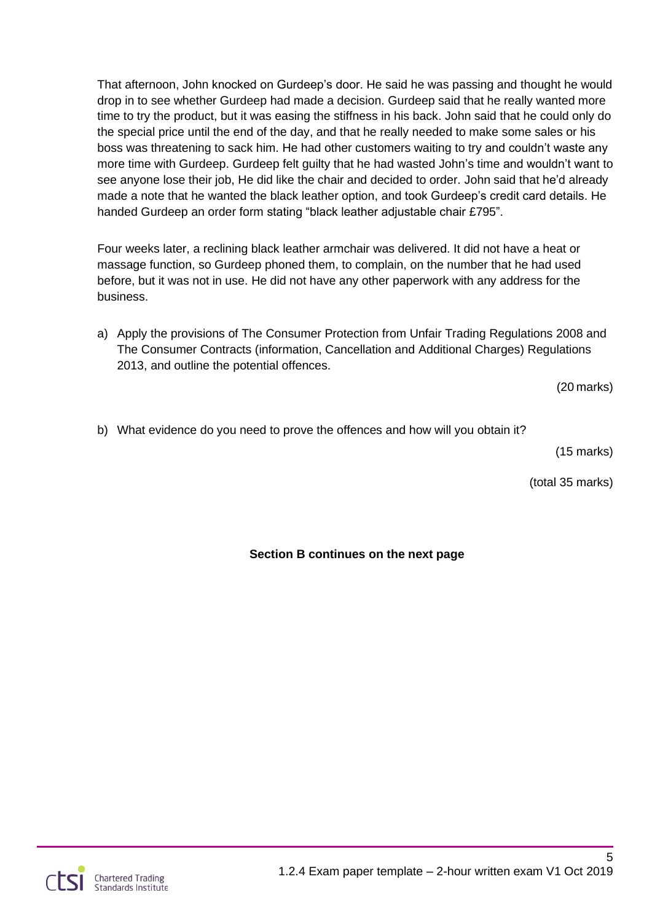That afternoon, John knocked on Gurdeep's door. He said he was passing and thought he would drop in to see whether Gurdeep had made a decision. Gurdeep said that he really wanted more time to try the product, but it was easing the stiffness in his back. John said that he could only do the special price until the end of the day, and that he really needed to make some sales or his boss was threatening to sack him. He had other customers waiting to try and couldn't waste any more time with Gurdeep. Gurdeep felt guilty that he had wasted John's time and wouldn't want to see anyone lose their job, He did like the chair and decided to order. John said that he'd already made a note that he wanted the black leather option, and took Gurdeep's credit card details. He handed Gurdeep an order form stating "black leather adjustable chair £795".

Four weeks later, a reclining black leather armchair was delivered. It did not have a heat or massage function, so Gurdeep phoned them, to complain, on the number that he had used before, but it was not in use. He did not have any other paperwork with any address for the business.

a) Apply the provisions of The Consumer Protection from Unfair Trading Regulations 2008 and The Consumer Contracts (information, Cancellation and Additional Charges) Regulations 2013, and outline the potential offences.

(20 marks)

b) What evidence do you need to prove the offences and how will you obtain it?

(15 marks)

(total 35 marks)

### **Section B continues on the next page**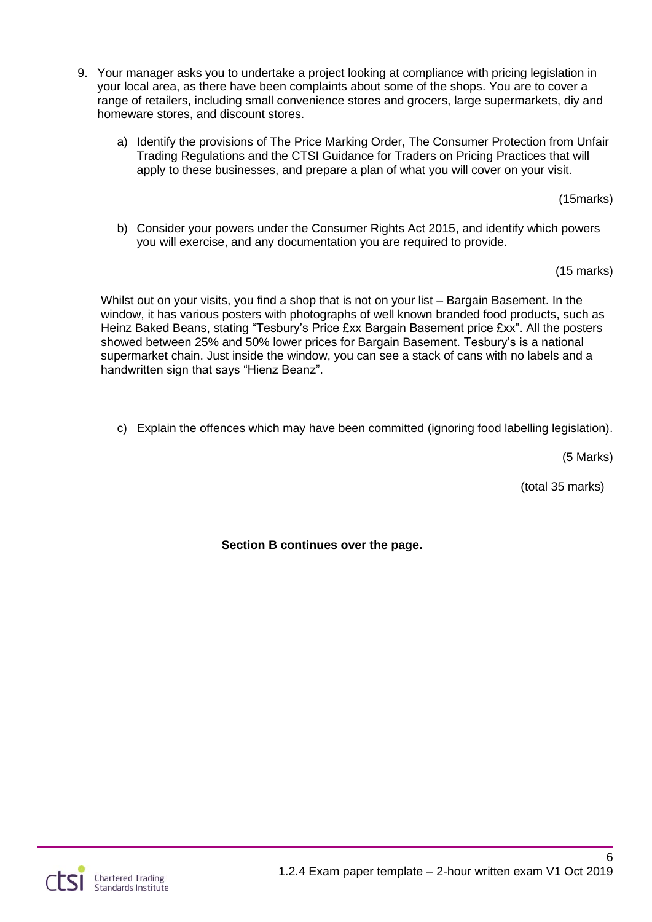- 9. Your manager asks you to undertake a project looking at compliance with pricing legislation in your local area, as there have been complaints about some of the shops. You are to cover a range of retailers, including small convenience stores and grocers, large supermarkets, diy and homeware stores, and discount stores.
	- a) Identify the provisions of The Price Marking Order, The Consumer Protection from Unfair Trading Regulations and the CTSI Guidance for Traders on Pricing Practices that will apply to these businesses, and prepare a plan of what you will cover on your visit.

(15marks)

b) Consider your powers under the Consumer Rights Act 2015, and identify which powers you will exercise, and any documentation you are required to provide.

(15 marks)

Whilst out on your visits, you find a shop that is not on your list – Bargain Basement. In the window, it has various posters with photographs of well known branded food products, such as Heinz Baked Beans, stating "Tesbury's Price £xx Bargain Basement price £xx". All the posters showed between 25% and 50% lower prices for Bargain Basement. Tesbury's is a national supermarket chain. Just inside the window, you can see a stack of cans with no labels and a handwritten sign that says "Hienz Beanz".

c) Explain the offences which may have been committed (ignoring food labelling legislation).

(5 Marks)

(total 35 marks)

**Section B continues over the page.**